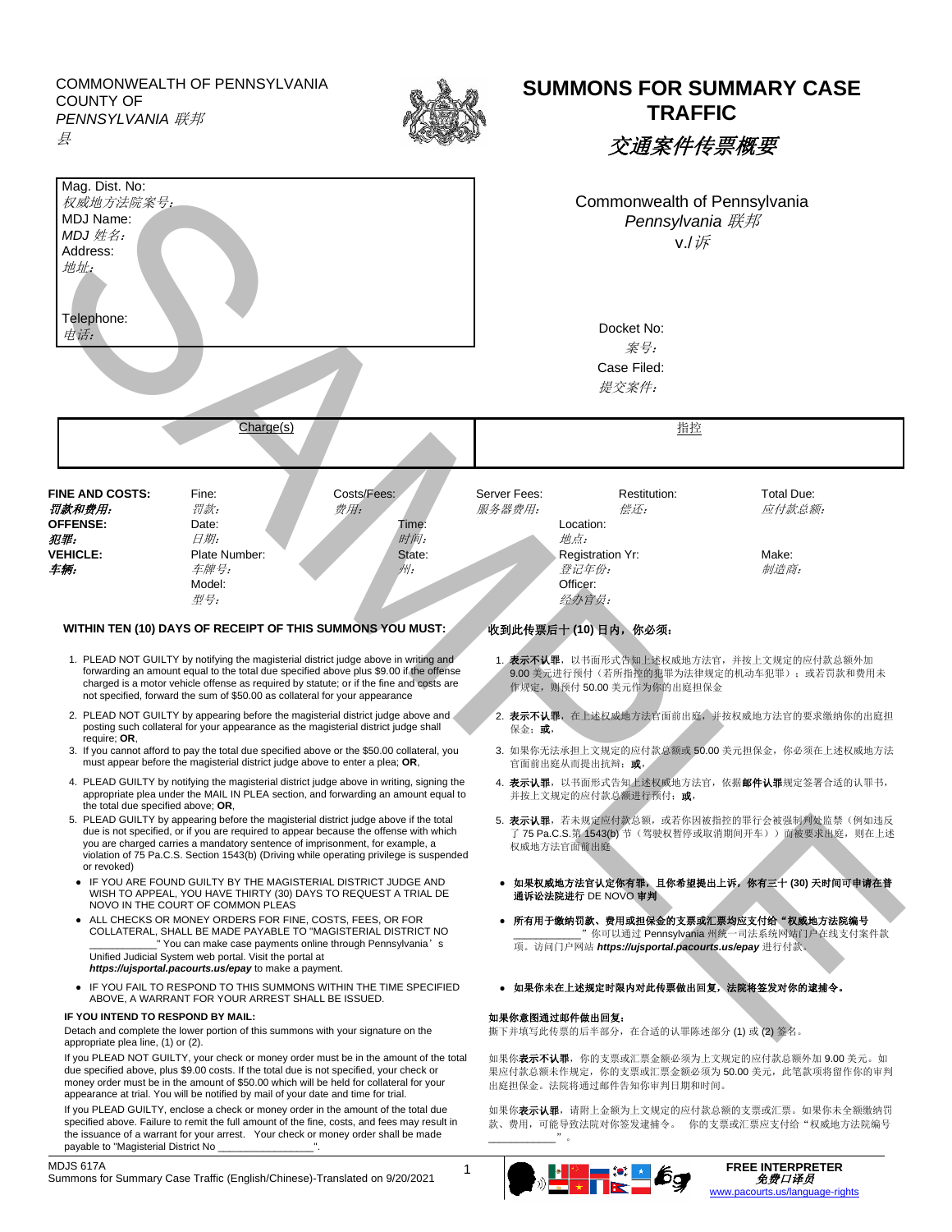COMMONWEALTH OF PENNSYLVANIA COUNTY OF *PENNSYLVANIA* 联邦 县



## **SUMMONS FOR SUMMARY CASE TRAFFIC**

交通案件传票概要

| Mag. Dist. No:<br>权威地方法院案号:<br>MDJ Name:<br>MDJ 姓名:<br>Address:<br>地址:<br>Telephone:<br>电话:                                                                                                                                                                                                                                                                              |                                                                                                                                                                                                                                                                                                                                                          |                             | Commonwealth of Pennsylvania<br>Pennsylvania 联邦<br>V/l<br>Docket No:<br>案号:                                                           |                                     |                                                                                               |  |           |  |  |                      |  |
|--------------------------------------------------------------------------------------------------------------------------------------------------------------------------------------------------------------------------------------------------------------------------------------------------------------------------------------------------------------------------|----------------------------------------------------------------------------------------------------------------------------------------------------------------------------------------------------------------------------------------------------------------------------------------------------------------------------------------------------------|-----------------------------|---------------------------------------------------------------------------------------------------------------------------------------|-------------------------------------|-----------------------------------------------------------------------------------------------|--|-----------|--|--|----------------------|--|
|                                                                                                                                                                                                                                                                                                                                                                          |                                                                                                                                                                                                                                                                                                                                                          |                             |                                                                                                                                       |                                     |                                                                                               |  |           |  |  | Case Filed:<br>提交案件: |  |
|                                                                                                                                                                                                                                                                                                                                                                          |                                                                                                                                                                                                                                                                                                                                                          |                             |                                                                                                                                       |                                     |                                                                                               |  | Charge(s) |  |  | 指控                   |  |
| <b>FINE AND COSTS:</b><br>罚款和费用:<br><b>OFFENSE:</b>                                                                                                                                                                                                                                                                                                                      | Fine:<br>罚款:<br>Date:                                                                                                                                                                                                                                                                                                                                    | Costs/Fees:<br>费用:<br>Time: | Server Fees:<br>服务器费用:                                                                                                                | Restitution:<br>偿还:<br>Location:    | <b>Total Due:</b><br>应付款总额:                                                                   |  |           |  |  |                      |  |
| 犯罪:                                                                                                                                                                                                                                                                                                                                                                      | 日期:                                                                                                                                                                                                                                                                                                                                                      | 时间:                         |                                                                                                                                       | 地点:                                 |                                                                                               |  |           |  |  |                      |  |
| <b>VEHICLE:</b><br>车辆:                                                                                                                                                                                                                                                                                                                                                   | Plate Number:<br>车牌号:                                                                                                                                                                                                                                                                                                                                    | State:<br>州:                |                                                                                                                                       | Registration Yr:<br>登记年份:           | Make:<br>制造商:                                                                                 |  |           |  |  |                      |  |
|                                                                                                                                                                                                                                                                                                                                                                          | Model:                                                                                                                                                                                                                                                                                                                                                   |                             |                                                                                                                                       | Officer:                            |                                                                                               |  |           |  |  |                      |  |
|                                                                                                                                                                                                                                                                                                                                                                          | 型号:                                                                                                                                                                                                                                                                                                                                                      |                             |                                                                                                                                       | 经办官员:                               |                                                                                               |  |           |  |  |                      |  |
|                                                                                                                                                                                                                                                                                                                                                                          | WITHIN TEN (10) DAYS OF RECEIPT OF THIS SUMMONS YOU MUST:                                                                                                                                                                                                                                                                                                |                             |                                                                                                                                       | 收到此传票后十(10)日内,你必须:                  |                                                                                               |  |           |  |  |                      |  |
|                                                                                                                                                                                                                                                                                                                                                                          | 1. PLEAD NOT GUILTY by notifying the magisterial district judge above in writing and<br>forwarding an amount equal to the total due specified above plus \$9.00 if the offense<br>charged is a motor vehicle offense as required by statute; or if the fine and costs are<br>not specified, forward the sum of \$50.00 as collateral for your appearance |                             |                                                                                                                                       | 作规定, 则预付 50.00 美元作为你的出庭担保金          | 1. 表示不认罪, 以书面形式告知上述权威地方法官, 并按上文规定的应付款总额外加<br>9.00 美元进行预付(若所指控的犯罪为法律规定的机动车犯罪);或若罚款和费用未         |  |           |  |  |                      |  |
| 2. PLEAD NOT GUILTY by appearing before the magisterial district judge above and a<br>posting such collateral for your appearance as the magisterial district judge shall<br>require: OR.                                                                                                                                                                                |                                                                                                                                                                                                                                                                                                                                                          |                             | 2. 表示不认罪, 在上述权威地方法官面前出庭, 并按权威地方法官的要求缴纳你的出庭担<br>保金; 或,                                                                                 |                                     |                                                                                               |  |           |  |  |                      |  |
| 3. If you cannot afford to pay the total due specified above or the \$50.00 collateral, you<br>must appear before the magisterial district judge above to enter a plea; OR,                                                                                                                                                                                              |                                                                                                                                                                                                                                                                                                                                                          |                             | 3. 如果你无法承担上文规定的应付款总额或50.00 美元担保金, 你必须在上述权威地方法<br>官面前出庭从而提出抗辩; 或,                                                                      |                                     |                                                                                               |  |           |  |  |                      |  |
| 4. PLEAD GUILTY by notifying the magisterial district judge above in writing, signing the<br>appropriate plea under the MAIL IN PLEA section, and forwarding an amount equal to<br>the total due specified above; OR,                                                                                                                                                    |                                                                                                                                                                                                                                                                                                                                                          |                             | 4. 表示认罪, 以书面形式告知上述权威地方法官, 依据邮件认罪规定签署合适的认罪书,<br>并按上文规定的应付款总额进行预付; 或,                                                                   |                                     |                                                                                               |  |           |  |  |                      |  |
| 5. PLEAD GUILTY by appearing before the magisterial district judge above if the total<br>due is not specified, or if you are required to appear because the offense with which<br>you are charged carries a mandatory sentence of imprisonment, for example, a<br>violation of 75 Pa.C.S. Section 1543(b) (Driving while operating privilege is suspended<br>or revoked) |                                                                                                                                                                                                                                                                                                                                                          |                             | 5. 表示认罪, 若未规定应付款总额, 或若你因被指控的罪行会被强制判处监禁(例如违反<br>了 75 Pa.C.S.第 1543(b) 节(驾驶权暂停或取消期间开车)) 而被要求出庭, 则在上述<br>权威地方法官面前出庭                      |                                     |                                                                                               |  |           |  |  |                      |  |
| • IF YOU ARE FOUND GUILTY BY THE MAGISTERIAL DISTRICT JUDGE AND<br>WISH TO APPEAL, YOU HAVE THIRTY (30) DAYS TO REQUEST A TRIAL DE<br>NOVO IN THE COURT OF COMMON PLEAS                                                                                                                                                                                                  |                                                                                                                                                                                                                                                                                                                                                          |                             | ● 如果权威地方法官认定你有罪, 且你希望提出上诉, 你有三十 (30) 天时间可申请在普<br>通诉讼法院进行 DE NOVO 审判                                                                   |                                     |                                                                                               |  |           |  |  |                      |  |
| • ALL CHECKS OR MONEY ORDERS FOR FINE, COSTS, FEES, OR FOR<br>COLLATERAL, SHALL BE MADE PAYABLE TO "MAGISTERIAL DISTRICT NO<br>"You can make case payments online through Pennsylvania's<br>Unified Judicial System web portal. Visit the portal at<br>https://ujsportal.pacourts.us/epay to make a payment.                                                             |                                                                                                                                                                                                                                                                                                                                                          |                             | ● 所有用于缴纳罚款、费用或担保金的支票或汇票均应支付给"权威地方法院编号<br>" 你可以通过 Pennsylvania 州统一司法系统网站门户在线支付案件款<br>项。访问门户网站 https://ujsportal.pacourts.us/epay 进行付款。 |                                     |                                                                                               |  |           |  |  |                      |  |
| • IF YOU FAIL TO RESPOND TO THIS SUMMONS WITHIN THE TIME SPECIFIED<br>ABOVE, A WARRANT FOR YOUR ARREST SHALL BE ISSUED.                                                                                                                                                                                                                                                  |                                                                                                                                                                                                                                                                                                                                                          |                             | 如果你未在上述规定时限内对此传票做出回复,法院将签发对你的逮捕令。<br>$\bullet$                                                                                        |                                     |                                                                                               |  |           |  |  |                      |  |
| IF YOU INTEND TO RESPOND BY MAIL:                                                                                                                                                                                                                                                                                                                                        |                                                                                                                                                                                                                                                                                                                                                          |                             |                                                                                                                                       | 如果你意图通过邮件做出回复:                      |                                                                                               |  |           |  |  |                      |  |
| Detach and complete the lower portion of this summons with your signature on the<br>appropriate plea line, (1) or (2).                                                                                                                                                                                                                                                   |                                                                                                                                                                                                                                                                                                                                                          |                             |                                                                                                                                       | 撕下并填写此传票的后半部分, 在合适的认罪陈述部分(1)或(2)签名。 |                                                                                               |  |           |  |  |                      |  |
| If you PLEAD NOT GUILTY, your check or money order must be in the amount of the total<br>due specified above, plus \$9.00 costs. If the total due is not specified, your check or<br>money order must be in the amount of \$50.00 which will be held for collateral for your<br>appearance at trial. You will be notified by mail of your date and time for trial.       |                                                                                                                                                                                                                                                                                                                                                          |                             | 如果你 <b>表示不认罪</b> ,你的支票或汇票金额必须为上文规定的应付款总额外加9.00 美元。如<br>果应付款总额未作规定, 你的支票或汇票金额必须为50.00 美元, 此笔款项将留作你的审判<br>出庭担保金。法院将通过邮件告知你审判日期和时间。      |                                     |                                                                                               |  |           |  |  |                      |  |
| If you PLEAD GUILTY, enclose a check or money order in the amount of the total due<br>specified above. Failure to remit the full amount of the fine, costs, and fees may result in<br>the issuance of a warrant for your arrest. Your check or money order shall be made<br>payable to "Magisterial District No _                                                        |                                                                                                                                                                                                                                                                                                                                                          |                             |                                                                                                                                       |                                     | 如果你 <b>表示认罪</b> ,请附上金额为上文规定的应付款总额的支票或汇票。如果你未全额缴纳罚<br>款、费用,可能导致法院对你签发逮捕令。 你的支票或汇票应支付给"权威地方法院编号 |  |           |  |  |                      |  |